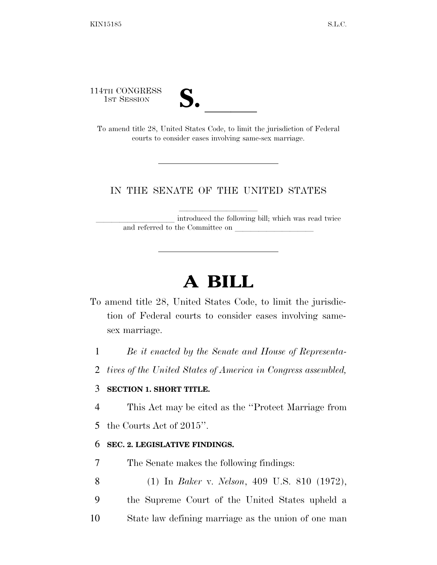114TH CONGRESS

1ST SESSION **S.** <br>To amend title 28, United States Code, to limit the jurisdiction of Federal courts to consider cases involving same-sex marriage.

## IN THE SENATE OF THE UNITED STATES

introduced the following bill; which was read twice and referred to the Committee on

# **A BILL**

- To amend title 28, United States Code, to limit the jurisdiction of Federal courts to consider cases involving samesex marriage.
	- 1 *Be it enacted by the Senate and House of Representa-*
	- 2 *tives of the United States of America in Congress assembled,*

#### 3 **SECTION 1. SHORT TITLE.**

- 4 This Act may be cited as the ''Protect Marriage from
- 5 the Courts Act of 2015''.

#### 6 **SEC. 2. LEGISLATIVE FINDINGS.**

- 7 The Senate makes the following findings:
- 8 (1) In *Baker* v. *Nelson*, 409 U.S. 810 (1972),
- 9 the Supreme Court of the United States upheld a
- 10 State law defining marriage as the union of one man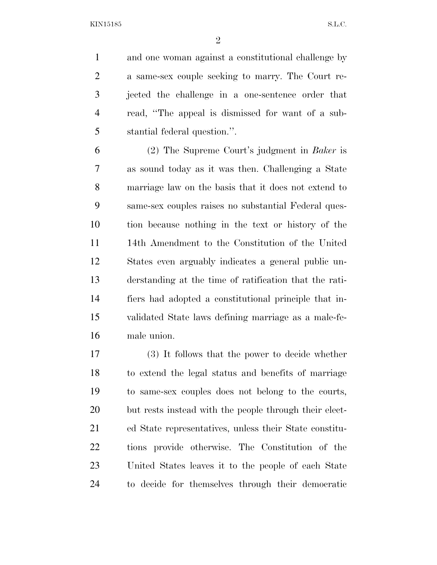KIN15185 S.L.C.

 and one woman against a constitutional challenge by a same-sex couple seeking to marry. The Court re- jected the challenge in a one-sentence order that read, ''The appeal is dismissed for want of a sub-stantial federal question.''.

 (2) The Supreme Court's judgment in *Baker* is as sound today as it was then. Challenging a State marriage law on the basis that it does not extend to same-sex couples raises no substantial Federal ques- tion because nothing in the text or history of the 14th Amendment to the Constitution of the United States even arguably indicates a general public un- derstanding at the time of ratification that the rati- fiers had adopted a constitutional principle that in- validated State laws defining marriage as a male-fe-male union.

 (3) It follows that the power to decide whether to extend the legal status and benefits of marriage to same-sex couples does not belong to the courts, but rests instead with the people through their elect- ed State representatives, unless their State constitu- tions provide otherwise. The Constitution of the United States leaves it to the people of each State to decide for themselves through their democratic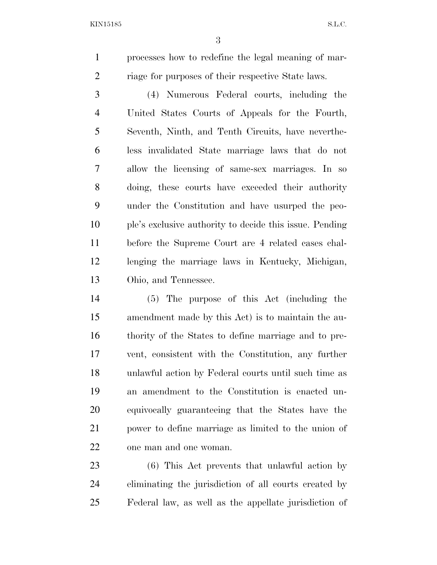KIN15185 S.L.C.

 processes how to redefine the legal meaning of mar-2 riage for purposes of their respective State laws.

 (4) Numerous Federal courts, including the United States Courts of Appeals for the Fourth, Seventh, Ninth, and Tenth Circuits, have neverthe- less invalidated State marriage laws that do not allow the licensing of same-sex marriages. In so doing, these courts have exceeded their authority under the Constitution and have usurped the peo- ple's exclusive authority to decide this issue. Pending before the Supreme Court are 4 related cases chal- lenging the marriage laws in Kentucky, Michigan, Ohio, and Tennessee.

 (5) The purpose of this Act (including the amendment made by this Act) is to maintain the au- thority of the States to define marriage and to pre- vent, consistent with the Constitution, any further unlawful action by Federal courts until such time as an amendment to the Constitution is enacted un- equivocally guaranteeing that the States have the power to define marriage as limited to the union of one man and one woman.

 (6) This Act prevents that unlawful action by eliminating the jurisdiction of all courts created by Federal law, as well as the appellate jurisdiction of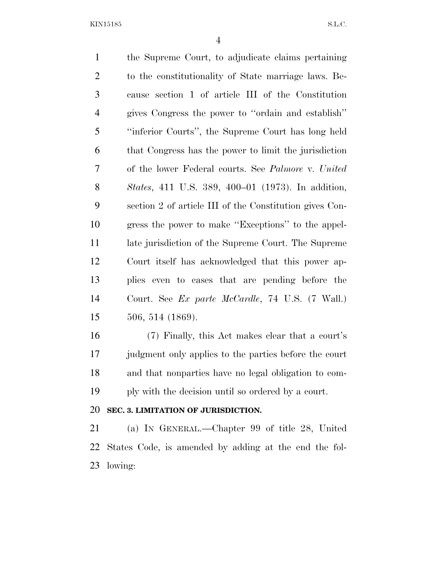KIN15185 S.L.C.

 the Supreme Court, to adjudicate claims pertaining to the constitutionality of State marriage laws. Be- cause section 1 of article III of the Constitution gives Congress the power to ''ordain and establish'' ''inferior Courts'', the Supreme Court has long held that Congress has the power to limit the jurisdiction of the lower Federal courts. See *Palmore* v. *United States*, 411 U.S. 389, 400–01 (1973). In addition, section 2 of article III of the Constitution gives Con- gress the power to make ''Exceptions'' to the appel- late jurisdiction of the Supreme Court. The Supreme Court itself has acknowledged that this power ap- plies even to cases that are pending before the Court. See *Ex parte McCardle*, 74 U.S. (7 Wall.) 506, 514 (1869).

 (7) Finally, this Act makes clear that a court's 17 judgment only applies to the parties before the court and that nonparties have no legal obligation to com-ply with the decision until so ordered by a court.

#### **SEC. 3. LIMITATION OF JURISDICTION.**

 (a) IN GENERAL.—Chapter 99 of title 28, United States Code, is amended by adding at the end the fol-lowing: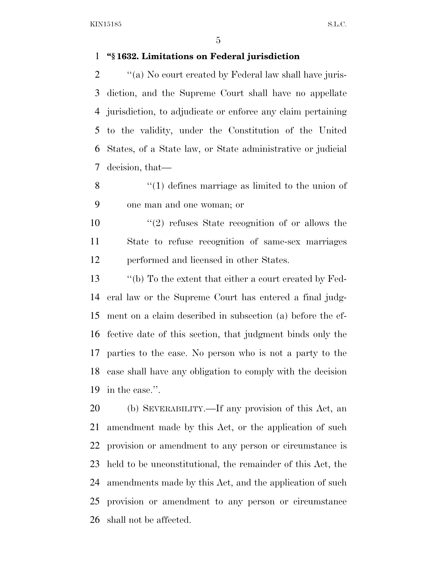### **''§ 1632. Limitations on Federal jurisdiction**

 $\gamma$  (a) No court created by Federal law shall have juris- diction, and the Supreme Court shall have no appellate jurisdiction, to adjudicate or enforce any claim pertaining to the validity, under the Constitution of the United States, of a State law, or State administrative or judicial decision, that—

8 ''(1) defines marriage as limited to the union of one man and one woman; or

10  $\frac{1}{2}$  refuses State recognition of or allows the State to refuse recognition of same-sex marriages performed and licensed in other States.

 ''(b) To the extent that either a court created by Fed- eral law or the Supreme Court has entered a final judg- ment on a claim described in subsection (a) before the ef- fective date of this section, that judgment binds only the parties to the case. No person who is not a party to the case shall have any obligation to comply with the decision in the case.''.

 (b) SEVERABILITY.—If any provision of this Act, an amendment made by this Act, or the application of such provision or amendment to any person or circumstance is held to be unconstitutional, the remainder of this Act, the amendments made by this Act, and the application of such provision or amendment to any person or circumstance shall not be affected.